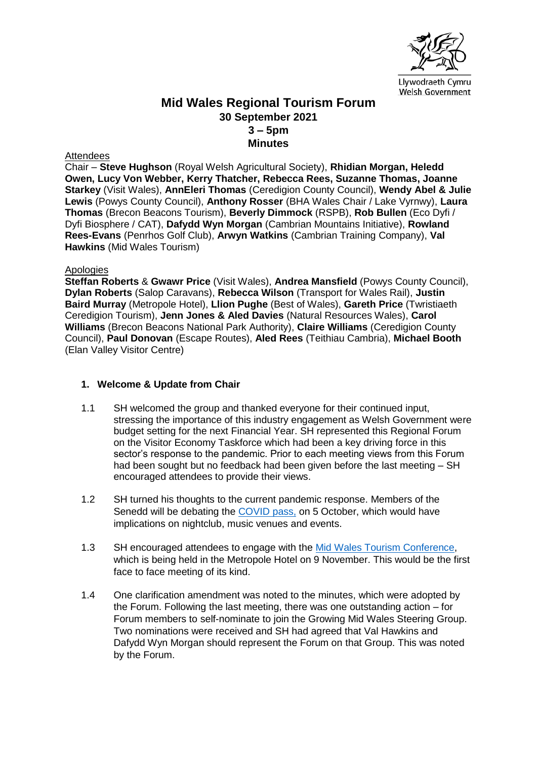

# **Mid Wales Regional Tourism Forum 30 September 2021 3 – 5pm Minutes**

#### **Attendees**

Chair – **Steve Hughson** (Royal Welsh Agricultural Society), **Rhidian Morgan, Heledd Owen, Lucy Von Webber, Kerry Thatcher, Rebecca Rees, Suzanne Thomas, Joanne Starkey** (Visit Wales), **AnnEleri Thomas** (Ceredigion County Council), **Wendy Abel & Julie Lewis** (Powys County Council), **Anthony Rosser** (BHA Wales Chair / Lake Vyrnwy), **Laura Thomas** (Brecon Beacons Tourism), **Beverly Dimmock** (RSPB), **Rob Bullen** (Eco Dyfi / Dyfi Biosphere / CAT), **Dafydd Wyn Morgan** (Cambrian Mountains Initiative), **Rowland Rees-Evans** (Penrhos Golf Club), **Arwyn Watkins** (Cambrian Training Company), **Val Hawkins** (Mid Wales Tourism)

#### Apologies

**Steffan Roberts** & **Gwawr Price** (Visit Wales), **Andrea Mansfield** (Powys County Council), **Dylan Roberts** (Salop Caravans), **Rebecca Wilson** (Transport for Wales Rail), **Justin Baird Murray** (Metropole Hotel), **Llion Pughe** (Best of Wales), **Gareth Price** (Twristiaeth Ceredigion Tourism), **Jenn Jones & Aled Davies** (Natural Resources Wales), **Carol Williams** (Brecon Beacons National Park Authority), **Claire Williams** (Ceredigion County Council), **Paul Donovan** (Escape Routes), **Aled Rees** (Teithiau Cambria), **Michael Booth** (Elan Valley Visitor Centre)

### **1. Welcome & Update from Chair**

- 1.1 SH welcomed the group and thanked everyone for their continued input, stressing the importance of this industry engagement as Welsh Government were budget setting for the next Financial Year. SH represented this Regional Forum on the Visitor Economy Taskforce which had been a key driving force in this sector's response to the pandemic. Prior to each meeting views from this Forum had been sought but no feedback had been given before the last meeting – SH encouraged attendees to provide their views.
- 1.2 SH turned his thoughts to the current pandemic response. Members of the Senedd will be debating the [COVID pass,](https://gov.wales/covid-pass-for-events-and-nightclubs-announced) on 5 October, which would have implications on nightclub, music venues and events.
- 1.3 SH encouraged attendees to engage with the [Mid Wales Tourism Conference,](https://www.midwalestourismconference.co.uk/) which is being held in the Metropole Hotel on 9 November. This would be the first face to face meeting of its kind.
- 1.4 One clarification amendment was noted to the minutes, which were adopted by the Forum. Following the last meeting, there was one outstanding action – for Forum members to self-nominate to join the Growing Mid Wales Steering Group. Two nominations were received and SH had agreed that Val Hawkins and Dafydd Wyn Morgan should represent the Forum on that Group. This was noted by the Forum.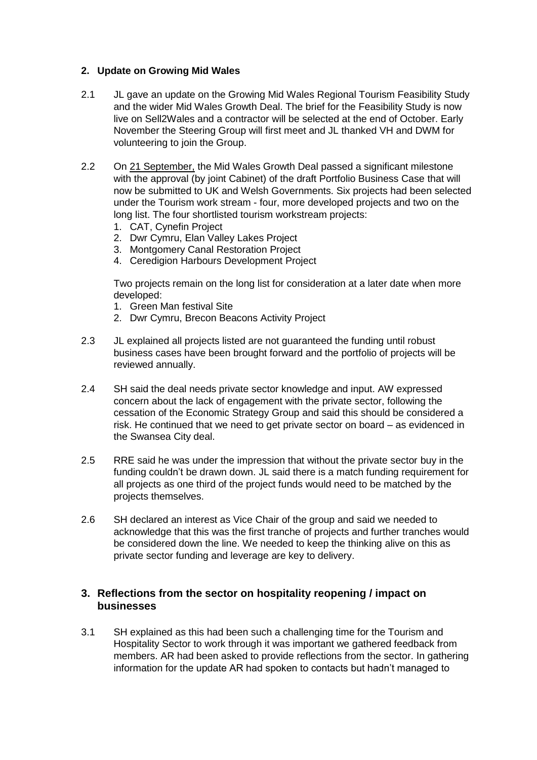### **2. Update on Growing Mid Wales**

- 2.1 JL gave an update on the Growing Mid Wales Regional Tourism Feasibility Study and the wider Mid Wales Growth Deal. The brief for the Feasibility Study is now live on Sell2Wales and a contractor will be selected at the end of October. Early November the Steering Group will first meet and JL thanked VH and DWM for volunteering to join the Group.
- 2.2 On [21 September,](https://en.powys.gov.uk/article/11684/Mid-Wales-Growth-Deal-Portfolio-passes-key-decision-point) the Mid Wales Growth Deal passed a significant milestone with the approval (by joint Cabinet) of the draft Portfolio Business Case that will now be submitted to UK and Welsh Governments. Six projects had been selected under the Tourism work stream - four, more developed projects and two on the long list. The four shortlisted tourism workstream projects:
	- 1. CAT, Cynefin Project
	- 2. Dwr Cymru, Elan Valley Lakes Project
	- 3. Montgomery Canal Restoration Project
	- 4. Ceredigion Harbours Development Project

Two projects remain on the long list for consideration at a later date when more developed:

- 1. Green Man festival Site
- 2. Dwr Cymru, Brecon Beacons Activity Project
- 2.3 JL explained all projects listed are not guaranteed the funding until robust business cases have been brought forward and the portfolio of projects will be reviewed annually.
- 2.4 SH said the deal needs private sector knowledge and input. AW expressed concern about the lack of engagement with the private sector, following the cessation of the Economic Strategy Group and said this should be considered a risk. He continued that we need to get private sector on board – as evidenced in the Swansea City deal.
- 2.5 RRE said he was under the impression that without the private sector buy in the funding couldn't be drawn down. JL said there is a match funding requirement for all projects as one third of the project funds would need to be matched by the projects themselves.
- 2.6 SH declared an interest as Vice Chair of the group and said we needed to acknowledge that this was the first tranche of projects and further tranches would be considered down the line. We needed to keep the thinking alive on this as private sector funding and leverage are key to delivery.

## **3. Reflections from the sector on hospitality reopening / impact on businesses**

3.1 SH explained as this had been such a challenging time for the Tourism and Hospitality Sector to work through it was important we gathered feedback from members. AR had been asked to provide reflections from the sector. In gathering information for the update AR had spoken to contacts but hadn't managed to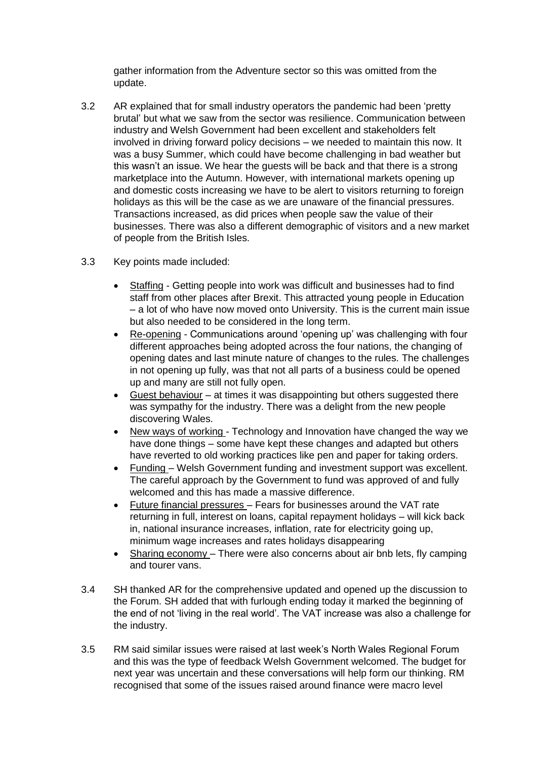gather information from the Adventure sector so this was omitted from the update.

- 3.2 AR explained that for small industry operators the pandemic had been 'pretty brutal' but what we saw from the sector was resilience. Communication between industry and Welsh Government had been excellent and stakeholders felt involved in driving forward policy decisions – we needed to maintain this now. It was a busy Summer, which could have become challenging in bad weather but this wasn't an issue. We hear the guests will be back and that there is a strong marketplace into the Autumn. However, with international markets opening up and domestic costs increasing we have to be alert to visitors returning to foreign holidays as this will be the case as we are unaware of the financial pressures. Transactions increased, as did prices when people saw the value of their businesses. There was also a different demographic of visitors and a new market of people from the British Isles.
- 3.3 Key points made included:
	- Staffing Getting people into work was difficult and businesses had to find staff from other places after Brexit. This attracted young people in Education – a lot of who have now moved onto University. This is the current main issue but also needed to be considered in the long term.
	- Re-opening Communications around 'opening up' was challenging with four different approaches being adopted across the four nations, the changing of opening dates and last minute nature of changes to the rules. The challenges in not opening up fully, was that not all parts of a business could be opened up and many are still not fully open.
	- Guest behaviour at times it was disappointing but others suggested there was sympathy for the industry. There was a delight from the new people discovering Wales.
	- New ways of working Technology and Innovation have changed the way we have done things – some have kept these changes and adapted but others have reverted to old working practices like pen and paper for taking orders.
	- Funding Welsh Government funding and investment support was excellent. The careful approach by the Government to fund was approved of and fully welcomed and this has made a massive difference.
	- Future financial pressures Fears for businesses around the VAT rate returning in full, interest on loans, capital repayment holidays – will kick back in, national insurance increases, inflation, rate for electricity going up, minimum wage increases and rates holidays disappearing
	- Sharing economy There were also concerns about air bnb lets, fly camping and tourer vans.
- 3.4 SH thanked AR for the comprehensive updated and opened up the discussion to the Forum. SH added that with furlough ending today it marked the beginning of the end of not 'living in the real world'. The VAT increase was also a challenge for the industry.
- 3.5 RM said similar issues were raised at last week's North Wales Regional Forum and this was the type of feedback Welsh Government welcomed. The budget for next year was uncertain and these conversations will help form our thinking. RM recognised that some of the issues raised around finance were macro level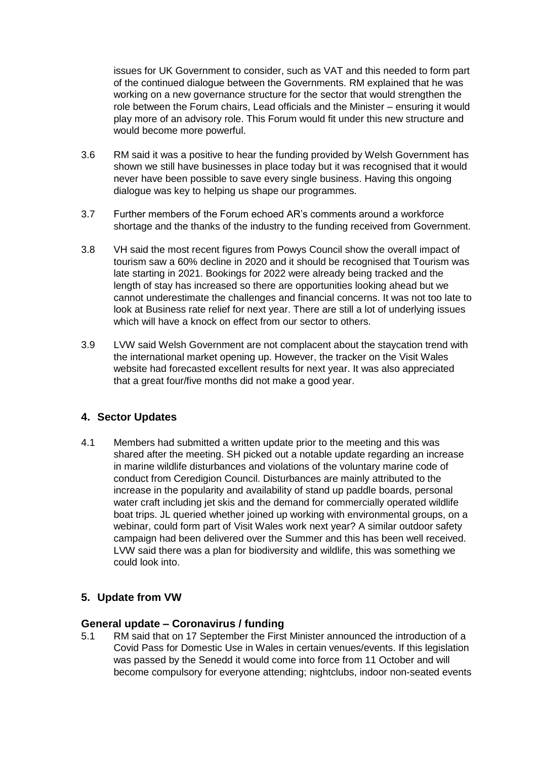issues for UK Government to consider, such as VAT and this needed to form part of the continued dialogue between the Governments. RM explained that he was working on a new governance structure for the sector that would strengthen the role between the Forum chairs, Lead officials and the Minister – ensuring it would play more of an advisory role. This Forum would fit under this new structure and would become more powerful.

- 3.6 RM said it was a positive to hear the funding provided by Welsh Government has shown we still have businesses in place today but it was recognised that it would never have been possible to save every single business. Having this ongoing dialogue was key to helping us shape our programmes.
- 3.7 Further members of the Forum echoed AR's comments around a workforce shortage and the thanks of the industry to the funding received from Government.
- 3.8 VH said the most recent figures from Powys Council show the overall impact of tourism saw a 60% decline in 2020 and it should be recognised that Tourism was late starting in 2021. Bookings for 2022 were already being tracked and the length of stay has increased so there are opportunities looking ahead but we cannot underestimate the challenges and financial concerns. It was not too late to look at Business rate relief for next year. There are still a lot of underlying issues which will have a knock on effect from our sector to others.
- 3.9 LVW said Welsh Government are not complacent about the staycation trend with the international market opening up. However, the tracker on the Visit Wales website had forecasted excellent results for next year. It was also appreciated that a great four/five months did not make a good year.

## **4. Sector Updates**

4.1 Members had submitted a written update prior to the meeting and this was shared after the meeting. SH picked out a notable update regarding an increase in marine wildlife disturbances and violations of the voluntary marine code of conduct from Ceredigion Council. Disturbances are mainly attributed to the increase in the popularity and availability of stand up paddle boards, personal water craft including jet skis and the demand for commercially operated wildlife boat trips. JL queried whether joined up working with environmental groups, on a webinar, could form part of Visit Wales work next year? A similar outdoor safety campaign had been delivered over the Summer and this has been well received. LVW said there was a plan for biodiversity and wildlife, this was something we could look into.

# **5. Update from VW**

## **General update – Coronavirus / funding**

5.1 RM said that on 17 September the First Minister announced the introduction of a Covid Pass for Domestic Use in Wales in certain venues/events. If this legislation was passed by the Senedd it would come into force from 11 October and will become compulsory for everyone attending; nightclubs, indoor non-seated events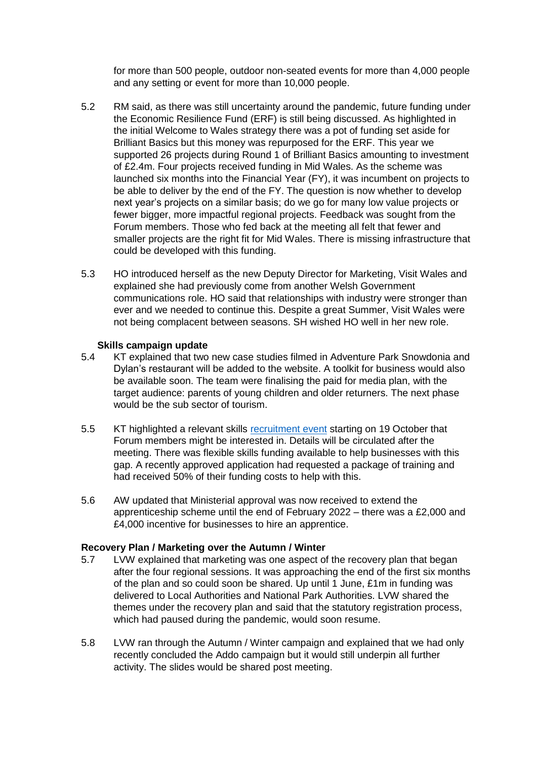for more than 500 people, outdoor non-seated events for more than 4,000 people and any setting or event for more than 10,000 people.

- 5.2 RM said, as there was still uncertainty around the pandemic, future funding under the Economic Resilience Fund (ERF) is still being discussed. As highlighted in the initial Welcome to Wales strategy there was a pot of funding set aside for Brilliant Basics but this money was repurposed for the ERF. This year we supported 26 projects during Round 1 of Brilliant Basics amounting to investment of £2.4m. Four projects received funding in Mid Wales. As the scheme was launched six months into the Financial Year (FY), it was incumbent on projects to be able to deliver by the end of the FY. The question is now whether to develop next year's projects on a similar basis; do we go for many low value projects or fewer bigger, more impactful regional projects. Feedback was sought from the Forum members. Those who fed back at the meeting all felt that fewer and smaller projects are the right fit for Mid Wales. There is missing infrastructure that could be developed with this funding.
- 5.3 HO introduced herself as the new Deputy Director for Marketing, Visit Wales and explained she had previously come from another Welsh Government communications role. HO said that relationships with industry were stronger than ever and we needed to continue this. Despite a great Summer, Visit Wales were not being complacent between seasons. SH wished HO well in her new role.

#### **Skills campaign update**

- 5.4 KT explained that two new case studies filmed in Adventure Park Snowdonia and Dylan's restaurant will be added to the website. A toolkit for business would also be available soon. The team were finalising the paid for media plan, with the target audience: parents of young children and older returners. The next phase would be the sub sector of tourism.
- 5.5 KT highlighted a relevant skills [recruitment event](https://eur01.safelinks.protection.outlook.com/?url=http%3A%2F%2Fwww.yourcareeryourfuture.wales%2F&data=04%7C01%7CRebecca.Rees2%40gov.wales%7C077645788e484e49cf6c08d983fb09dc%7Ca2cc36c592804ae78887d06dab89216b%7C0%7C0%7C637685937822635437%7CUnknown%7CTWFpbGZsb3d8eyJWIjoiMC4wLjAwMDAiLCJQIjoiV2luMzIiLCJBTiI6Ik1haWwiLCJXVCI6Mn0%3D%7C1000&sdata=zdeZCAZNryiwucn2aSSTlsXPuRWEwfG%2FJP2HEajIH38%3D&reserved=0) starting on 19 October that Forum members might be interested in. Details will be circulated after the meeting. There was flexible skills funding available to help businesses with this gap. A recently approved application had requested a package of training and had received 50% of their funding costs to help with this.
- 5.6 AW updated that Ministerial approval was now received to extend the apprenticeship scheme until the end of February 2022 – there was a £2,000 and £4,000 incentive for businesses to hire an apprentice.

### **Recovery Plan / Marketing over the Autumn / Winter**

- 5.7 LVW explained that marketing was one aspect of the recovery plan that began after the four regional sessions. It was approaching the end of the first six months of the plan and so could soon be shared. Up until 1 June, £1m in funding was delivered to Local Authorities and National Park Authorities. LVW shared the themes under the recovery plan and said that the statutory registration process, which had paused during the pandemic, would soon resume.
- 5.8 LVW ran through the Autumn / Winter campaign and explained that we had only recently concluded the Addo campaign but it would still underpin all further activity. The slides would be shared post meeting.